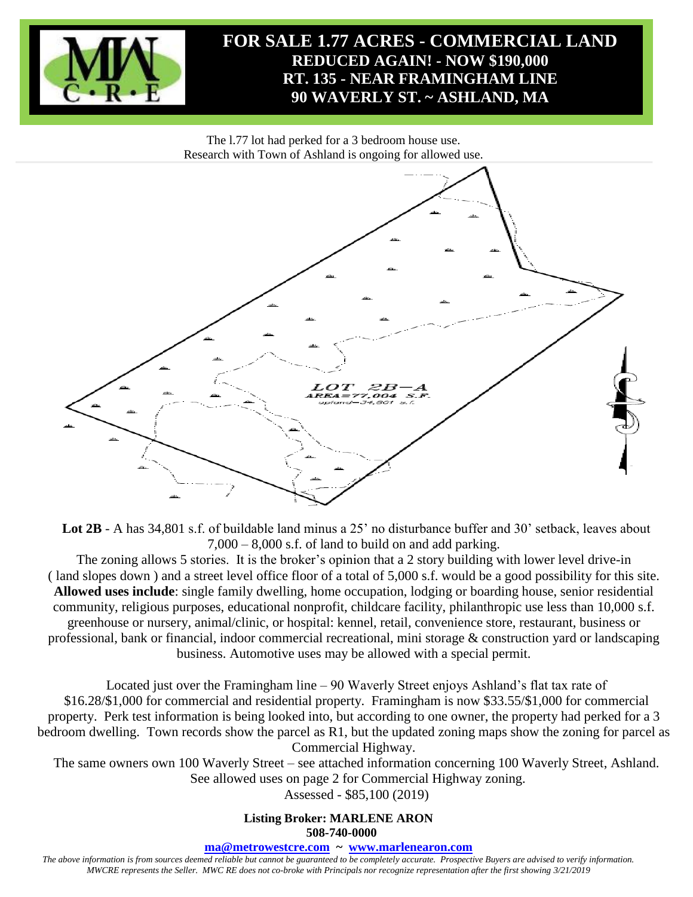

The l.77 lot had perked for a 3 bedroom house use. Research with Town of Ashland is ongoing for allowed use.



Lot 2B - A has 34,801 s.f. of buildable land minus a 25' no disturbance buffer and 30' setback, leaves about 7,000 – 8,000 s.f. of land to build on and add parking.

The zoning allows 5 stories. It is the broker's opinion that a 2 story building with lower level drive-in ( land slopes down ) and a street level office floor of a total of 5,000 s.f. would be a good possibility for this site. **Allowed uses include**: single family dwelling, home occupation, lodging or boarding house, senior residential community, religious purposes, educational nonprofit, childcare facility, philanthropic use less than 10,000 s.f. greenhouse or nursery, animal/clinic, or hospital: kennel, retail, convenience store, restaurant, business or professional, bank or financial, indoor commercial recreational, mini storage & construction yard or landscaping business. Automotive uses may be allowed with a special permit.

Located just over the Framingham line – 90 Waverly Street enjoys Ashland's flat tax rate of \$16.28/\$1,000 for commercial and residential property. Framingham is now \$33.55/\$1,000 for commercial property. Perk test information is being looked into, but according to one owner, the property had perked for a 3 bedroom dwelling. Town records show the parcel as R1, but the updated zoning maps show the zoning for parcel as Commercial Highway.

The same owners own 100 Waverly Street – see attached information concerning 100 Waverly Street, Ashland. See allowed uses on page 2 for Commercial Highway zoning.

Assessed - \$85,100 (2019)

**Listing Broker: MARLENE ARON 508-740-0000**

**[ma@metrowestcre.com](mailto:ma@metrowestcre.com) ~ [www.marlenearon.com](http://www.metrowestcre.com/)**

*The above information is from sources deemed reliable but cannot be guaranteed to be completely accurate. Prospective Buyers are advised to verify information. MWCRE represents the Seller. MWC RE does not co-broke with Principals nor recognize representation after the first showing 3/21/2019*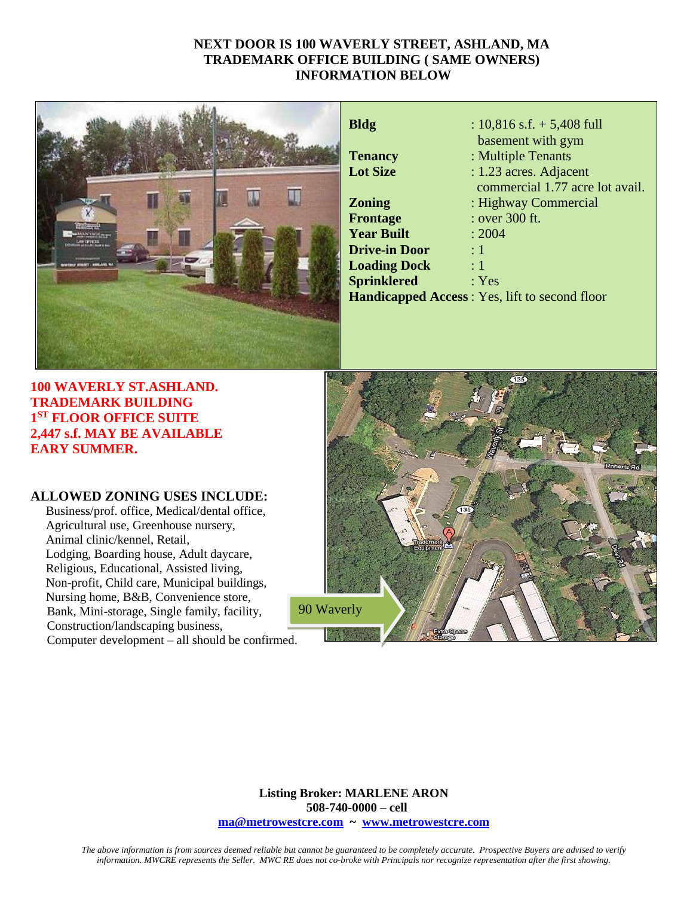## **NEXT DOOR IS 100 WAVERLY STREET, ASHLAND, MA TRADEMARK OFFICE BUILDING ( SAME OWNERS) INFORMATION BELOW**



| Bldg                 | : $10,816$ s.f. $+ 5,408$ full                       |
|----------------------|------------------------------------------------------|
|                      | basement with gym                                    |
| <b>Tenancy</b>       | : Multiple Tenants                                   |
| <b>Lot Size</b>      | : 1.23 acres. Adjacent                               |
|                      | commercial 1.77 acre lot avail.                      |
| Zoning               | : Highway Commercial                                 |
| Frontage             | : over 300 ft.                                       |
| <b>Year Built</b>    | : 2004                                               |
| <b>Drive-in Door</b> | $\div 1$                                             |
| <b>Loading Dock</b>  | $\colon 1$                                           |
| <b>Sprinklered</b>   | : Yes                                                |
|                      | <b>Handicapped Access: Yes, lift to second floor</b> |
|                      |                                                      |

**100 WAVERLY ST.ASHLAND. TRADEMARK BUILDING 1 ST FLOOR OFFICE SUITE 2,447 s.f. MAY BE AVAILABLE EARY SUMMER.**

## **ALLOWED ZONING USES INCLUDE:**

Business/prof. office, Medical/dental office, Agricultural use, Greenhouse nursery, Animal clinic/kennel, Retail, Lodging, Boarding house, Adult daycare, Religious, Educational, Assisted living, Non-profit, Child care, Municipal buildings, Nursing home, B&B, Convenience store, Bank, Mini-storage, Single family, facility, Construction/landscaping business, Computer development – all should be confirmed.



**Listing Broker: MARLENE ARON 508-740-0000 – cell [ma@metrowestcre.com](mailto:ma@metrowestcre.com) ~ [www.metrowestcre.com](http://www.metrowestcre.com/)**

*The above information is from sources deemed reliable but cannot be guaranteed to be completely accurate. Prospective Buyers are advised to verify information. MWCRE represents the Seller. MWC RE does not co-broke with Principals nor recognize representation after the first showing.*